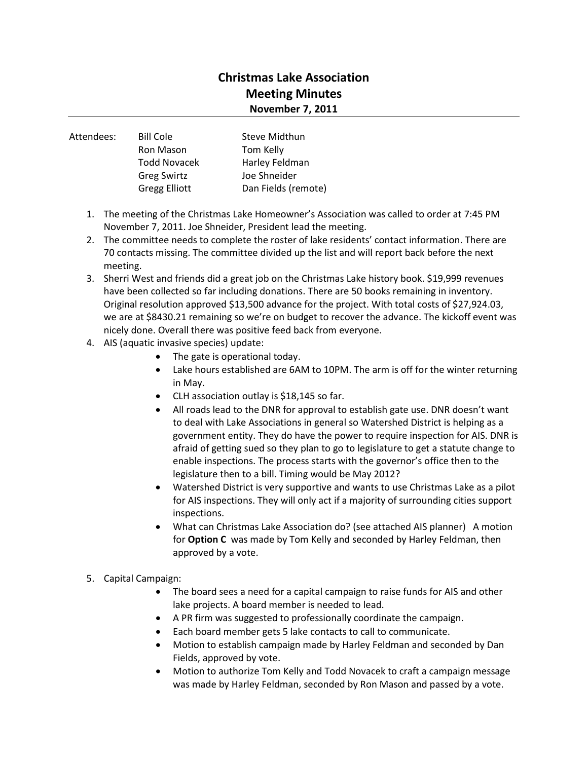## **Christmas Lake Association Meeting Minutes November 7, 2011**

| Attendees: | <b>Bill Cole</b>     | Steve Midthun       |
|------------|----------------------|---------------------|
|            | <b>Ron Mason</b>     | Tom Kelly           |
|            | <b>Todd Novacek</b>  | Harley Feldman      |
|            | <b>Greg Swirtz</b>   | Joe Shneider        |
|            | <b>Gregg Elliott</b> | Dan Fields (remote) |
|            |                      |                     |

- 1. The meeting of the Christmas Lake Homeowner's Association was called to order at 7:45 PM November 7, 2011. Joe Shneider, President lead the meeting.
- 2. The committee needs to complete the roster of lake residents' contact information. There are 70 contacts missing. The committee divided up the list and will report back before the next meeting.
- 3. Sherri West and friends did a great job on the Christmas Lake history book. \$19,999 revenues have been collected so far including donations. There are 50 books remaining in inventory. Original resolution approved \$13,500 advance for the project. With total costs of \$27,924.03, we are at \$8430.21 remaining so we're on budget to recover the advance. The kickoff event was nicely done. Overall there was positive feed back from everyone.
- 4. AIS (aquatic invasive species) update:
	- The gate is operational today.
	- Lake hours established are 6AM to 10PM. The arm is off for the winter returning in May.
	- CLH association outlay is \$18,145 so far.
	- All roads lead to the DNR for approval to establish gate use. DNR doesn't want to deal with Lake Associations in general so Watershed District is helping as a government entity. They do have the power to require inspection for AIS. DNR is afraid of getting sued so they plan to go to legislature to get a statute change to enable inspections. The process starts with the governor's office then to the legislature then to a bill. Timing would be May 2012?
	- Watershed District is very supportive and wants to use Christmas Lake as a pilot for AIS inspections. They will only act if a majority of surrounding cities support inspections.
	- What can Christmas Lake Association do? (see attached AIS planner) A motion for **Option C** was made by Tom Kelly and seconded by Harley Feldman, then approved by a vote.

## 5. Capital Campaign:

- The board sees a need for a capital campaign to raise funds for AIS and other lake projects. A board member is needed to lead.
- A PR firm was suggested to professionally coordinate the campaign.
- Each board member gets 5 lake contacts to call to communicate.
- Motion to establish campaign made by Harley Feldman and seconded by Dan Fields, approved by vote.
- Motion to authorize Tom Kelly and Todd Novacek to craft a campaign message was made by Harley Feldman, seconded by Ron Mason and passed by a vote.